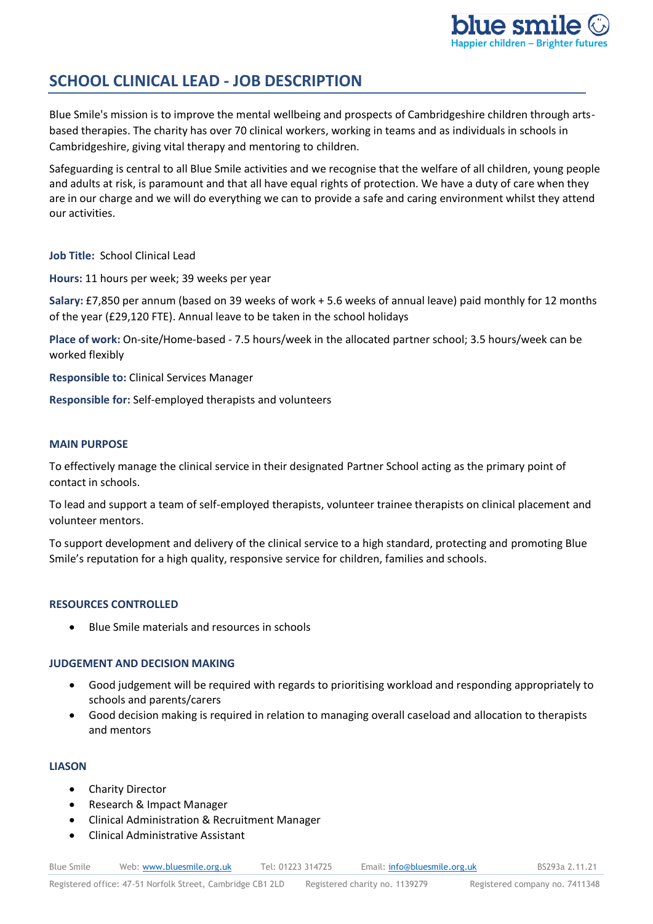

# **SCHOOL CLINICAL LEAD - JOB DESCRIPTION**

Blue Smile's mission is to improve the mental wellbeing and prospects of Cambridgeshire children through artsbased therapies. The charity has over 70 clinical workers, working in teams and as individuals in schools in Cambridgeshire, giving vital therapy and mentoring to children.

Safeguarding is central to all Blue Smile activities and we recognise that the welfare of all children, young people and adults at risk, is paramount and that all have equal rights of protection. We have a duty of care when they are in our charge and we will do everything we can to provide a safe and caring environment whilst they attend our activities.

**Job Title:** School Clinical Lead

**Hours:** 11 hours per week; 39 weeks per year

**Salary:** £7,850 per annum (based on 39 weeks of work + 5.6 weeks of annual leave) paid monthly for 12 months of the year (£29,120 FTE). Annual leave to be taken in the school holidays

**Place of work:** On-site/Home-based - 7.5 hours/week in the allocated partner school; 3.5 hours/week can be worked flexibly

**Responsible to:** Clinical Services Manager

**Responsible for:** Self-employed therapists and volunteers

## **MAIN PURPOSE**

To effectively manage the clinical service in their designated Partner School acting as the primary point of contact in schools.

To lead and support a team of self-employed therapists, volunteer trainee therapists on clinical placement and volunteer mentors.

To support development and delivery of the clinical service to a high standard, protecting and promoting Blue Smile's reputation for a high quality, responsive service for children, families and schools.

## **RESOURCES CONTROLLED**

• Blue Smile materials and resources in schools

# **JUDGEMENT AND DECISION MAKING**

- Good judgement will be required with regards to prioritising workload and responding appropriately to schools and parents/carers
- Good decision making is required in relation to managing overall caseload and allocation to therapists and mentors

## **LIASON**

- Charity Director
- Research & Impact Manager
- Clinical Administration & Recruitment Manager
- Clinical Administrative Assistant

Blue Smile Web: [www.bluesmile.org.uk](http://www.bluesmile.org.uk/) Tel: 01223 314725 Email: [info@bluesmile.org.uk](mailto:info@bluesmile.org.uk) BS293a 2.11.21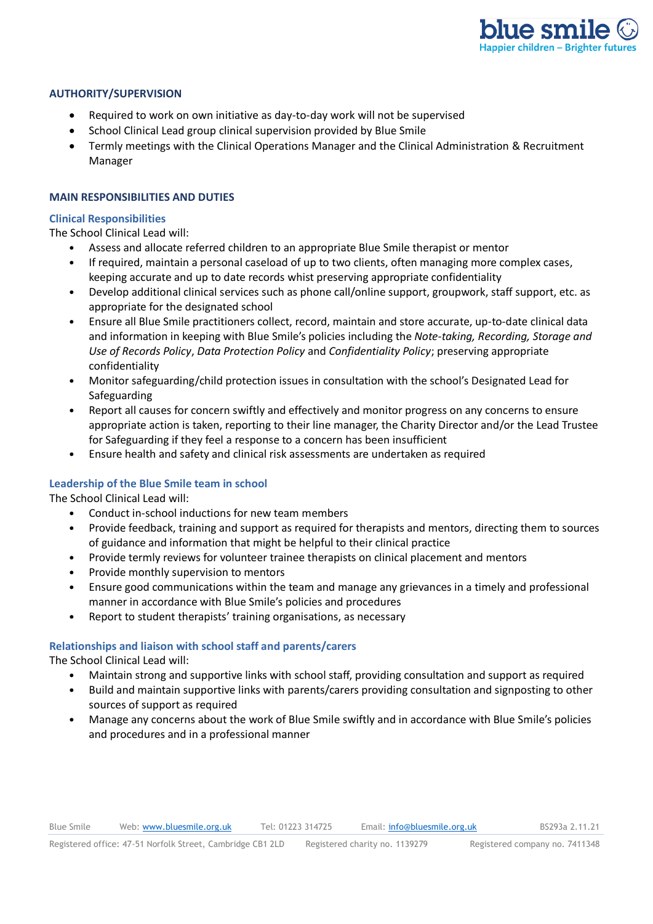

#### **AUTHORITY/SUPERVISION**

- Required to work on own initiative as day-to-day work will not be supervised
- School Clinical Lead group clinical supervision provided by Blue Smile
- Termly meetings with the Clinical Operations Manager and the Clinical Administration & Recruitment Manager

## **MAIN RESPONSIBILITIES AND DUTIES**

#### **Clinical Responsibilities**

The School Clinical Lead will:

- Assess and allocate referred children to an appropriate Blue Smile therapist or mentor
- If required, maintain a personal caseload of up to two clients, often managing more complex cases, keeping accurate and up to date records whist preserving appropriate confidentiality
- Develop additional clinical services such as phone call/online support, groupwork, staff support, etc. as appropriate for the designated school
- Ensure all Blue Smile practitioners collect, record, maintain and store accurate, up-to-date clinical data and information in keeping with Blue Smile's policies including the *Note-taking, Recording, Storage and Use of Records Policy*, *Data Protection Policy* and *Confidentiality Policy*; preserving appropriate confidentiality
- Monitor safeguarding/child protection issues in consultation with the school's Designated Lead for Safeguarding
- Report all causes for concern swiftly and effectively and monitor progress on any concerns to ensure appropriate action is taken, reporting to their line manager, the Charity Director and/or the Lead Trustee for Safeguarding if they feel a response to a concern has been insufficient
- Ensure health and safety and clinical risk assessments are undertaken as required

## **Leadership of the Blue Smile team in school**

The School Clinical Lead will:

- Conduct in-school inductions for new team members
- Provide feedback, training and support as required for therapists and mentors, directing them to sources of guidance and information that might be helpful to their clinical practice
- Provide termly reviews for volunteer trainee therapists on clinical placement and mentors
- Provide monthly supervision to mentors
- Ensure good communications within the team and manage any grievances in a timely and professional manner in accordance with Blue Smile's policies and procedures
- Report to student therapists' training organisations, as necessary

## **Relationships and liaison with school staff and parents/carers**

The School Clinical Lead will:

- Maintain strong and supportive links with school staff, providing consultation and support as required
- Build and maintain supportive links with parents/carers providing consultation and signposting to other sources of support as required
- Manage any concerns about the work of Blue Smile swiftly and in accordance with Blue Smile's policies and procedures and in a professional manner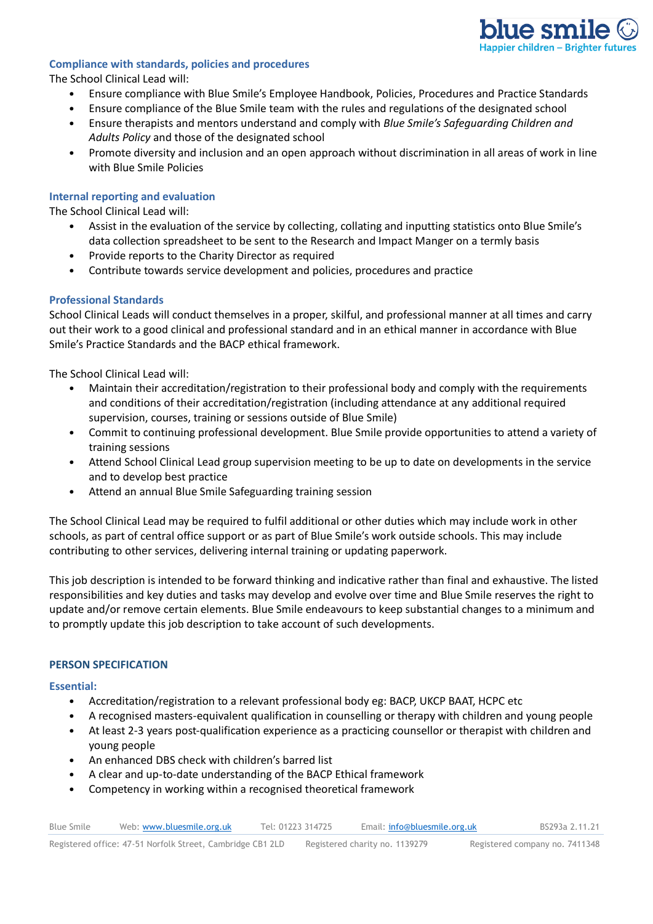

#### **Compliance with standards, policies and procedures**

The School Clinical Lead will:

- Ensure compliance with Blue Smile's Employee Handbook, Policies, Procedures and Practice Standards
- Ensure compliance of the Blue Smile team with the rules and regulations of the designated school
- Ensure therapists and mentors understand and comply with *Blue Smile's Safeguarding Children and Adults Policy* and those of the designated school
- Promote diversity and inclusion and an open approach without discrimination in all areas of work in line with Blue Smile Policies

## **Internal reporting and evaluation**

The School Clinical Lead will:

- Assist in the evaluation of the service by collecting, collating and inputting statistics onto Blue Smile's data collection spreadsheet to be sent to the Research and Impact Manger on a termly basis
- Provide reports to the Charity Director as required
- Contribute towards service development and policies, procedures and practice

#### **Professional Standards**

School Clinical Leads will conduct themselves in a proper, skilful, and professional manner at all times and carry out their work to a good clinical and professional standard and in an ethical manner in accordance with Blue Smile's Practice Standards and the BACP ethical framework.

The School Clinical Lead will:

- Maintain their accreditation/registration to their professional body and comply with the requirements and conditions of their accreditation/registration (including attendance at any additional required supervision, courses, training or sessions outside of Blue Smile)
- Commit to continuing professional development. Blue Smile provide opportunities to attend a variety of training sessions
- Attend School Clinical Lead group supervision meeting to be up to date on developments in the service and to develop best practice
- Attend an annual Blue Smile Safeguarding training session

The School Clinical Lead may be required to fulfil additional or other duties which may include work in other schools, as part of central office support or as part of Blue Smile's work outside schools. This may include contributing to other services, delivering internal training or updating paperwork.

This job description is intended to be forward thinking and indicative rather than final and exhaustive. The listed responsibilities and key duties and tasks may develop and evolve over time and Blue Smile reserves the right to update and/or remove certain elements. Blue Smile endeavours to keep substantial changes to a minimum and to promptly update this job description to take account of such developments.

#### **PERSON SPECIFICATION**

#### **Essential:**

- Accreditation/registration to a relevant professional body eg: BACP, UKCP BAAT, HCPC etc
- A recognised masters-equivalent qualification in counselling or therapy with children and young people
- At least 2-3 years post-qualification experience as a practicing counsellor or therapist with children and young people
- An enhanced DBS check with children's barred list
- A clear and up-to-date understanding of the BACP Ethical framework
- Competency in working within a recognised theoretical framework

| <b>Blue Smile</b> | Web: www.bluesmile.org.uk | Tel: 01223 314725 | Email: info@bluesmile.org.uk | BS293a 2.11.21 |
|-------------------|---------------------------|-------------------|------------------------------|----------------|
|                   |                           |                   |                              |                |